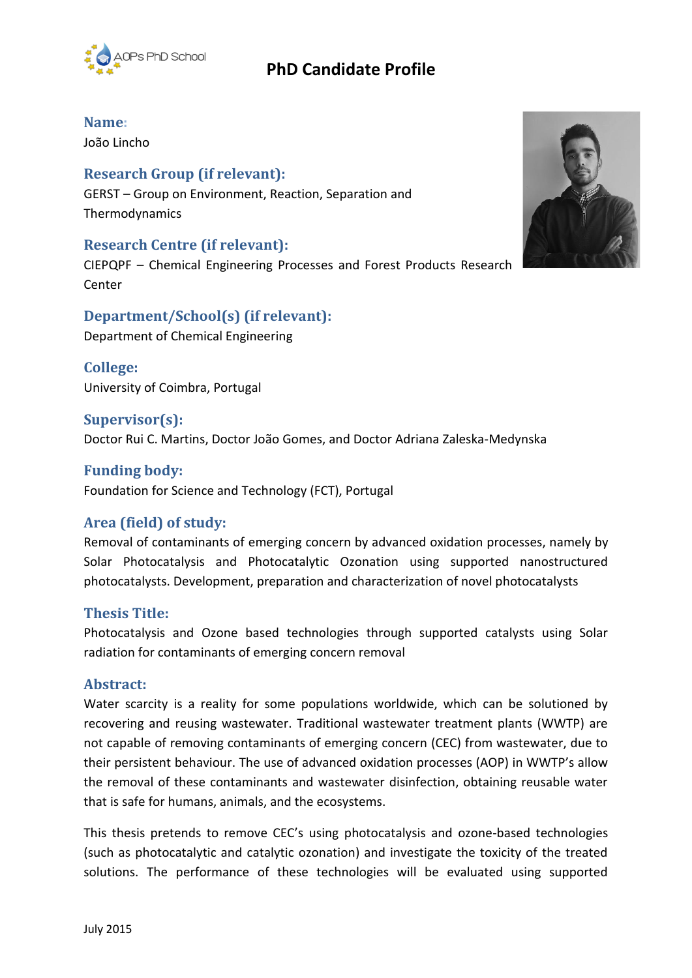

# **PhD Candidate Profile**

## **Name:**

João Lincho

## **Research Group (if relevant):**

GERST – Group on Environment, Reaction, Separation and Thermodynamics

### **Research Centre (if relevant):**

CIEPQPF – Chemical Engineering Processes and Forest Products Research Center

## **Department/School(s) (if relevant):** Department of Chemical Engineering

**College:** University of Coimbra, Portugal

## **Supervisor(s):**

Doctor Rui C. Martins, Doctor João Gomes, and Doctor Adriana Zaleska-Medynska

## **Funding body:**

Foundation for Science and Technology (FCT), Portugal

## **Area (field) of study:**

Removal of contaminants of emerging concern by advanced oxidation processes, namely by Solar Photocatalysis and Photocatalytic Ozonation using supported nanostructured photocatalysts. Development, preparation and characterization of novel photocatalysts

## **Thesis Title:**

Photocatalysis and Ozone based technologies through supported catalysts using Solar radiation for contaminants of emerging concern removal

### **Abstract:**

Water scarcity is a reality for some populations worldwide, which can be solutioned by recovering and reusing wastewater. Traditional wastewater treatment plants (WWTP) are not capable of removing contaminants of emerging concern (CEC) from wastewater, due to their persistent behaviour. The use of advanced oxidation processes (AOP) in WWTP's allow the removal of these contaminants and wastewater disinfection, obtaining reusable water that is safe for humans, animals, and the ecosystems.

This thesis pretends to remove CEC's using photocatalysis and ozone-based technologies (such as photocatalytic and catalytic ozonation) and investigate the toxicity of the treated solutions. The performance of these technologies will be evaluated using supported